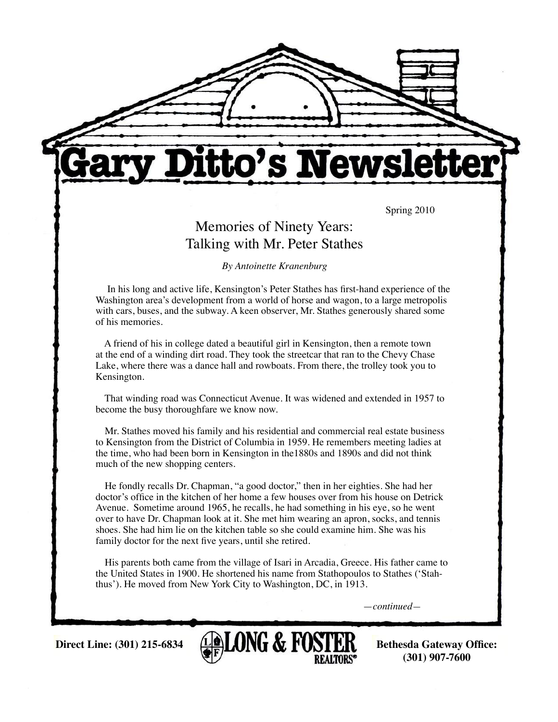

# tto's Newsl

Spring 2010

# Memories of Ninety Years: Talking with Mr. Peter Stathes

*By Antoinette Kranenburg*

 In his long and active life, Kensington's Peter Stathes has first-hand experience of the Washington area's development from a world of horse and wagon, to a large metropolis with cars, buses, and the subway. A keen observer, Mr. Stathes generously shared some of his memories.

 A friend of his in college dated a beautiful girl in Kensington, then a remote town at the end of a winding dirt road. They took the streetcar that ran to the Chevy Chase Lake, where there was a dance hall and rowboats. From there, the trolley took you to Kensington.

 That winding road was Connecticut Avenue. It was widened and extended in 1957 to become the busy thoroughfare we know now.

 Mr. Stathes moved his family and his residential and commercial real estate business to Kensington from the District of Columbia in 1959. He remembers meeting ladies at the time, who had been born in Kensington in the1880s and 1890s and did not think much of the new shopping centers.

 He fondly recalls Dr. Chapman, "a good doctor," then in her eighties. She had her doctor's office in the kitchen of her home a few houses over from his house on Detrick Avenue. Sometime around 1965, he recalls, he had something in his eye, so he went over to have Dr. Chapman look at it. She met him wearing an apron, socks, and tennis shoes. She had him lie on the kitchen table so she could examine him. She was his family doctor for the next five years, until she retired.

 His parents both came from the village of Isari in Arcadia, Greece. His father came to the United States in 1900. He shortened his name from Stathopoulos to Stathes ('Stahthus'). He moved from New York City to Washington, DC, in 1913.

—*continued—*



**(301) 907-7600**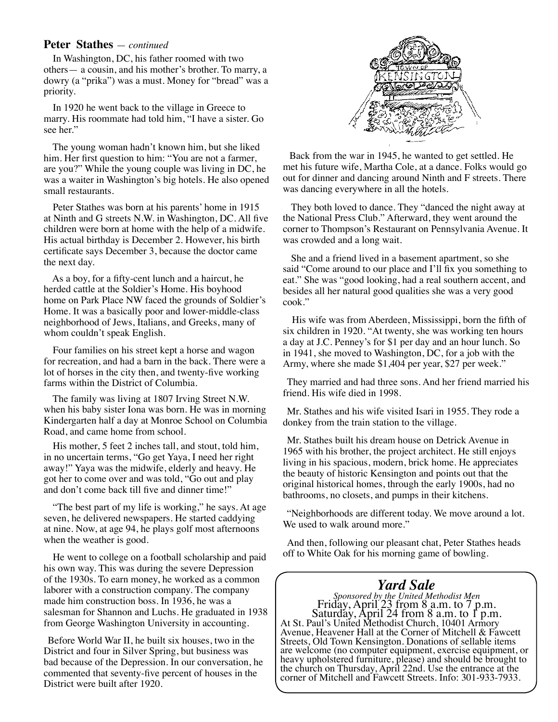#### **Peter Stathes** — *continued*

 In Washington, DC, his father roomed with two others— a cousin, and his mother's brother. To marry, a dowry (a "prika") was a must. Money for "bread" was a priority.

 In 1920 he went back to the village in Greece to marry. His roommate had told him, "I have a sister. Go see her."

 The young woman hadn't known him, but she liked him. Her first question to him: "You are not a farmer, are you?" While the young couple was living in DC, he was a waiter in Washington's big hotels. He also opened small restaurants.

 Peter Stathes was born at his parents' home in 1915 at Ninth and G streets N.W. in Washington, DC. All five children were born at home with the help of a midwife. His actual birthday is December 2. However, his birth certificate says December 3, because the doctor came the next day.

 As a boy, for a fifty-cent lunch and a haircut, he herded cattle at the Soldier's Home. His boyhood home on Park Place NW faced the grounds of Soldier's Home. It was a basically poor and lower-middle-class neighborhood of Jews, Italians, and Greeks, many of whom couldn't speak English.

 Four families on his street kept a horse and wagon for recreation, and had a barn in the back. There were a lot of horses in the city then, and twenty-five working farms within the District of Columbia.

 The family was living at 1807 Irving Street N.W. when his baby sister Iona was born. He was in morning Kindergarten half a day at Monroe School on Columbia Road, and came home from school.

 His mother, 5 feet 2 inches tall, and stout, told him, in no uncertain terms, "Go get Yaya, I need her right away!" Yaya was the midwife, elderly and heavy. He got her to come over and was told, "Go out and play and don't come back till five and dinner time!"

 "The best part of my life is working," he says. At age seven, he delivered newspapers. He started caddying at nine. Now, at age 94, he plays golf most afternoons when the weather is good.

 He went to college on a football scholarship and paid his own way. This was during the severe Depression of the 1930s. To earn money, he worked as a common laborer with a construction company. The company made him construction boss. In 1936, he was a salesman for Shannon and Luchs. He graduated in 1938 from George Washington University in accounting.

Before World War II, he built six houses, two in the District and four in Silver Spring, but business was bad because of the Depression. In our conversation, he commented that seventy-five percent of houses in the District were built after 1920.



Back from the war in 1945, he wanted to get settled. He met his future wife, Martha Cole, at a dance. Folks would go out for dinner and dancing around Ninth and F streets. There was dancing everywhere in all the hotels.

 They both loved to dance. They "danced the night away at the National Press Club." Afterward, they went around the corner to Thompson's Restaurant on Pennsylvania Avenue. It was crowded and a long wait.

 She and a friend lived in a basement apartment, so she said "Come around to our place and I'll fix you something to eat." She was "good looking, had a real southern accent, and besides all her natural good qualities she was a very good cook."

 His wife was from Aberdeen, Mississippi, born the fifth of six children in 1920. "At twenty, she was working ten hours a day at J.C. Penney's for \$1 per day and an hour lunch. So in 1941, she moved to Washington, DC, for a job with the Army, where she made \$1,404 per year, \$27 per week."

They married and had three sons. And her friend married his friend. His wife died in 1998.

Mr. Stathes and his wife visited Isari in 1955. They rode a donkey from the train station to the village.

Mr. Stathes built his dream house on Detrick Avenue in 1965 with his brother, the project architect. He still enjoys living in his spacious, modern, brick home. He appreciates the beauty of historic Kensington and points out that the original historical homes, through the early 1900s, had no bathrooms, no closets, and pumps in their kitchens.

"Neighborhoods are different today. We move around a lot. We used to walk around more."

And then, following our pleasant chat, Peter Stathes heads off to White Oak for his morning game of bowling.

#### *Yard Sale*

*Sponsored by the United Methodist Men* Friday, April 23 from 8 a.m. to 7 p.m. Saturday, April 24 from 8 a.m. to 1 p.m. At St. Paul's United Methodist Church, 10401 Armory Avenue, Heavener Hall at the Corner of Mitchell & Fawcett Streets, Old Town Kensington. Donations of sellable items are welcome (no computer equipment, exercise equipment, or heavy upholstered furniture, please) and should be brought to the church on Thursday, April 22nd. Use the entrance at the corner of Mitchell and Fawcett Streets. Info: 301-933-7933.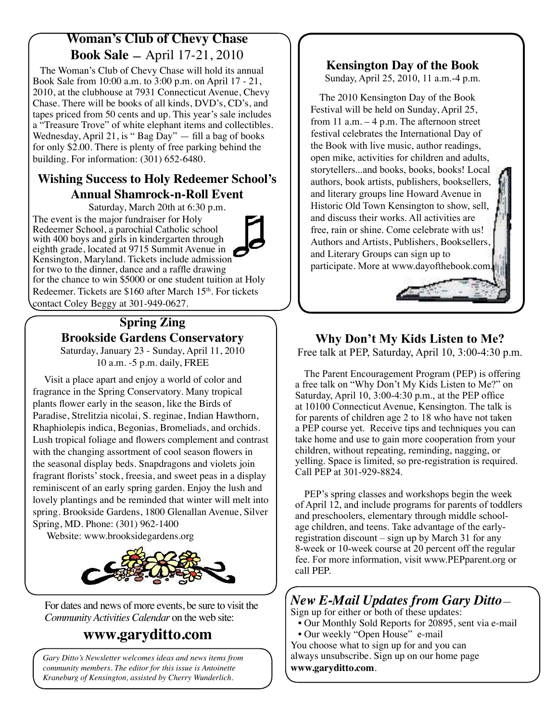## **Woman's Club of Chevy Chase Book Sale —** April 17-21, 2010

 The Woman's Club of Chevy Chase will hold its annual Book Sale from 10:00 a.m. to 3:00 p.m. on April 17 - 21, 2010, at the clubhouse at 7931 Connecticut Avenue, Chevy Chase. There will be books of all kinds, DVD's, CD's, and tapes priced from 50 cents and up. This year's sale includes a "Treasure Trove" of white elephant items and collectibles. Wednesday, April 21, is " $Bag\bar{Day}$ " — fill a bag of books for only \$2.00. There is plenty of free parking behind the building. For information: (301) 652-6480.

#### **Wishing Success to Holy Redeemer School's Annual Shamrock-n-Roll Event**

Saturday, March 20th at 6:30 p.m.

The event is the major fundraiser for Holy Redeemer School, a parochial Catholic school with 400 boys and girls in kindergarten through eighth grade, located at 9715 Summit Avenue in Kensington, Maryland. Tickets include admission for two to the dinner, dance and a raffle drawing for the chance to win \$5000 or one student tuition at Holy Redeemer. Tickets are \$160 after March 15<sup>th</sup>. For tickets contact Coley Beggy at 301-949-0627.

# **Spring Zing Brookside Gardens Conservatory**

Saturday, January 23 - Sunday, April 11, 2010 10 a.m. -5 p.m. daily, FREE

 Visit a place apart and enjoy a world of color and fragrance in the Spring Conservatory. Many tropical plants flower early in the season, like the Birds of Paradise, Strelitzia nicolai, S. reginae, Indian Hawthorn, Rhaphiolepis indica, Begonias, Bromeliads, and orchids. Lush tropical foliage and flowers complement and contrast with the changing assortment of cool season flowers in the seasonal display beds. Snapdragons and violets join fragrant florists' stock, freesia, and sweet peas in a display reminiscent of an early spring garden. Enjoy the lush and lovely plantings and be reminded that winter will melt into spring. Brookside Gardens, 1800 Glenallan Avenue, Silver Spring, MD. Phone: (301) 962-1400

Website: www.brooksidegardens.org



For dates and news of more events, be sure to visit the *Community Activities Calendar* on the web site:

# **www.garyditto.com**

*Gary Ditto's Newsletter welcomes ideas and news items from community members. The editor for this issue is Antoinette Kraneburg of Kensington, assisted by Cherry Wunderlich.* 

#### **Kensington Day of the Book**

Sunday, April 25, 2010, 11 a.m.-4 p.m.

 The 2010 Kensington Day of the Book Festival will be held on Sunday, April 25, from 11 a.m. – 4 p.m. The afternoon street festival celebrates the International Day of the Book with live music, author readings, open mike, activities for children and adults, storytellers...and books, books, books! Local authors, book artists, publishers, booksellers, and literary groups line Howard Avenue in Historic Old Town Kensington to show, sell, and discuss their works. All activities are free, rain or shine. Come celebrate with us! Authors and Artists, Publishers, Booksellers, and Literary Groups can sign up to participate. More at www.dayofthebook.com.

#### **Why Don't My Kids Listen to Me?**

Free talk at PEP, Saturday, April 10, 3:00-4:30 p.m.

 The Parent Encouragement Program (PEP) is offering a free talk on "Why Don't My Kids Listen to Me?" on Saturday, April 10, 3:00-4:30 p.m., at the PEP office at 10100 Connecticut Avenue, Kensington. The talk is for parents of children age 2 to 18 who have not taken a PEP course yet. Receive tips and techniques you can take home and use to gain more cooperation from your children, without repeating, reminding, nagging, or yelling. Space is limited, so pre-registration is required. Call PEP at 301-929-8824.

 PEP's spring classes and workshops begin the week of April 12, and include programs for parents of toddlers and preschoolers, elementary through middle schoolage children, and teens. Take advantage of the earlyregistration discount – sign up by March 31 for any 8-week or 10-week course at 20 percent off the regular fee. For more information, visit www.PEPparent.org or call PEP.

## *New E-Mail Updates from Gary Ditto*—

Sign up for either or both of these updates: • Our Monthly Sold Reports for 20895, sent via e-mail

 • Our weekly "Open House" e-mail You choose what to sign up for and you can always unsubscribe. Sign up on our home page **www.garyditto.com**.